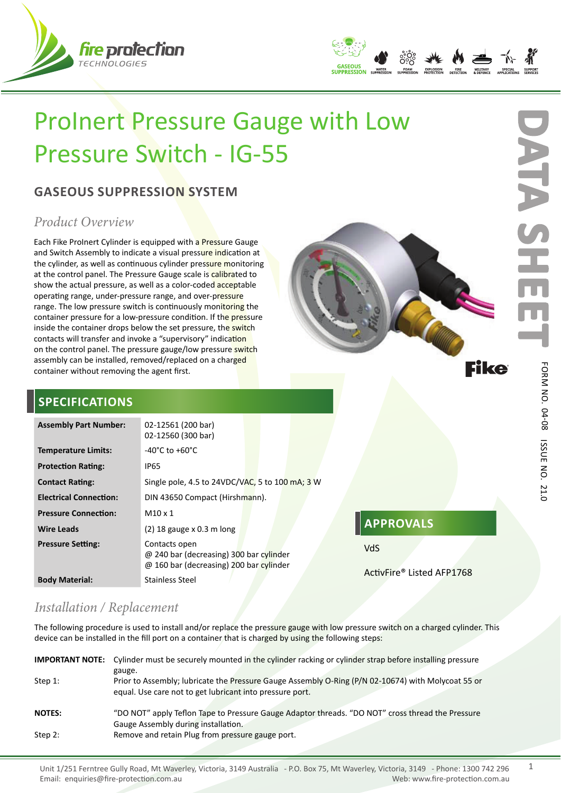



# ProInert Pressure Gauge with Low Pressure Switch - IG-55

#### **GASEOUS SUPPRESSION SYSTEM**

## *Product Overview*

Each Fike ProInert Cylinder is equipped with a Pressure Gauge and Switch Assembly to indicate a visual pressure indication at the cylinder, as well as continuous cylinder pressure monitoring at the control panel. The Pressure Gauge scale is calibrated to show the actual pressure, as well as a color-coded acceptable operating range, under-pressure range, and over-pressure range. The low pressure switch is continuously monitoring the container pressure for a low-pressure condition. If the pressure inside the container drops below the set pressure, the switch contacts will transfer and invoke a "supervisory" indication on the control panel. The pressure gauge/low pressure switch assembly can be installed, removed/replaced on a charged container without removing the agent first.



### **SPECIFICATIONS**

| <b>Assembly Part Number:</b>  | 02-12561 (200 bar)<br>02-12560 (300 bar)                                                            |  |                                  |  |
|-------------------------------|-----------------------------------------------------------------------------------------------------|--|----------------------------------|--|
| <b>Temperature Limits:</b>    | $-40^{\circ}$ C to $+60^{\circ}$ C                                                                  |  |                                  |  |
| <b>Protection Rating:</b>     | IP65                                                                                                |  |                                  |  |
| <b>Contact Rating:</b>        | Single pole, 4.5 to 24VDC/VAC, 5 to 100 mA; 3 W                                                     |  |                                  |  |
| <b>Electrical Connection:</b> | DIN 43650 Compact (Hirshmann).                                                                      |  |                                  |  |
| <b>Pressure Connection:</b>   | $M10 \times 1$                                                                                      |  |                                  |  |
| <b>Wire Leads</b>             | $(2)$ 18 gauge x 0.3 m long                                                                         |  | <b>APPROVALS</b>                 |  |
| <b>Pressure Setting:</b>      | Contacts open<br>@ 240 bar (decreasing) 300 bar cylinder<br>@ 160 bar (decreasing) 200 bar cylinder |  | VdS<br>ActivFire® Listed AFP1768 |  |
| <b>Body Material:</b>         | Stainless Steel                                                                                     |  |                                  |  |

#### *Installation / Replacement*

The following procedure is used to install and/or replace the pressure gauge with low pressure switch on a charged cylinder. This device can be installed in the fill port on a container that is charged by using the following steps:

|               | <b>IMPORTANT NOTE:</b> Cylinder must be securely mounted in the cylinder racking or cylinder strap before installing pressure                                  |
|---------------|----------------------------------------------------------------------------------------------------------------------------------------------------------------|
|               | gauge.                                                                                                                                                         |
| Step $1$ :    | Prior to Assembly; lubricate the Pressure Gauge Assembly O-Ring (P/N 02-10674) with Molycoat 55 or<br>equal. Use care not to get lubricant into pressure port. |
| <b>NOTES:</b> | "DO NOT" apply Teflon Tape to Pressure Gauge Adaptor threads. "DO NOT" cross thread the Pressure<br>Gauge Assembly during installation.                        |
| Step $2$ :    | Remove and retain Plug from pressure gauge port.                                                                                                               |

1

**D**

ATA .

Unit 1/251 Ferntree Gully Road, Mt Waverley, Victoria, 3149 Australia - P.O. Box 75, Mt Waverley, Victoria, 3149 - Phone: 1300 742 296 Email: enquiries@fire-protection.com.au Web: www.fire-protection.com.au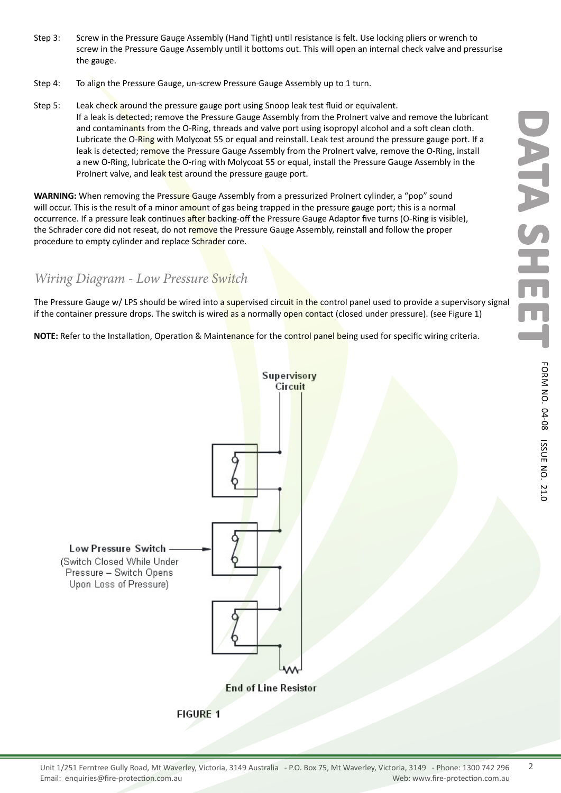- Step 3: Screw in the Pressure Gauge Assembly (Hand Tight) until resistance is felt. Use locking pliers or wrench to screw in the Pressure Gauge Assembly until it bottoms out. This will open an internal check valve and pressurise the gauge.
- Step 4: To align the Pressure Gauge, un-screw Pressure Gauge Assembly up to 1 turn.
- Step 5: Leak check around the pressure gauge port using Snoop leak test fluid or equivalent. If a leak is detected; remove the Pressure Gauge Assembly from the ProInert valve and remove the lubricant and contaminants from the O-Ring, threads and valve port using isopropyl alcohol and a soft clean cloth. Lubricate the O-Ring with Molycoat 55 or equal and reinstall. Leak test around the pressure gauge port. If a leak is detected; remove the Pressure Gauge Assembly from the ProInert valve, remove the O-Ring, install a new O-Ring, lubricate the O-ring with Molycoat 55 or equal, install the Pressure Gauge Assembly in the ProInert valve, and leak test around the pressure gauge port.

WARNING: When removing the Pressure Gauge Assembly from a pressurized ProInert cylinder, a "pop" sound will occur. This is the result of a minor amount of gas being trapped in the pressure gauge port; this is a normal occurrence. If a pressure leak continues after backing-off the Pressure Gauge Adaptor five turns (O-Ring is visible), the Schrader core did not reseat, do not remove the Pressure Gauge Assembly, reinstall and follow the proper procedure to empty cylinder and replace Schrader core.

#### *Wiring Diagram - Low Pressure Switch*

The Pressure Gauge w/ LPS should be wired into a supervised circuit in the control panel used to provide a supervisory signal if the container pressure drops. The switch is wired as a normally open contact (closed under pressure). (see Figure 1)

**NOTE:** Refer to the Installation, Operation & Maintenance for the control panel being used for specific wiring criteria.



**FIGURE 1** 

2